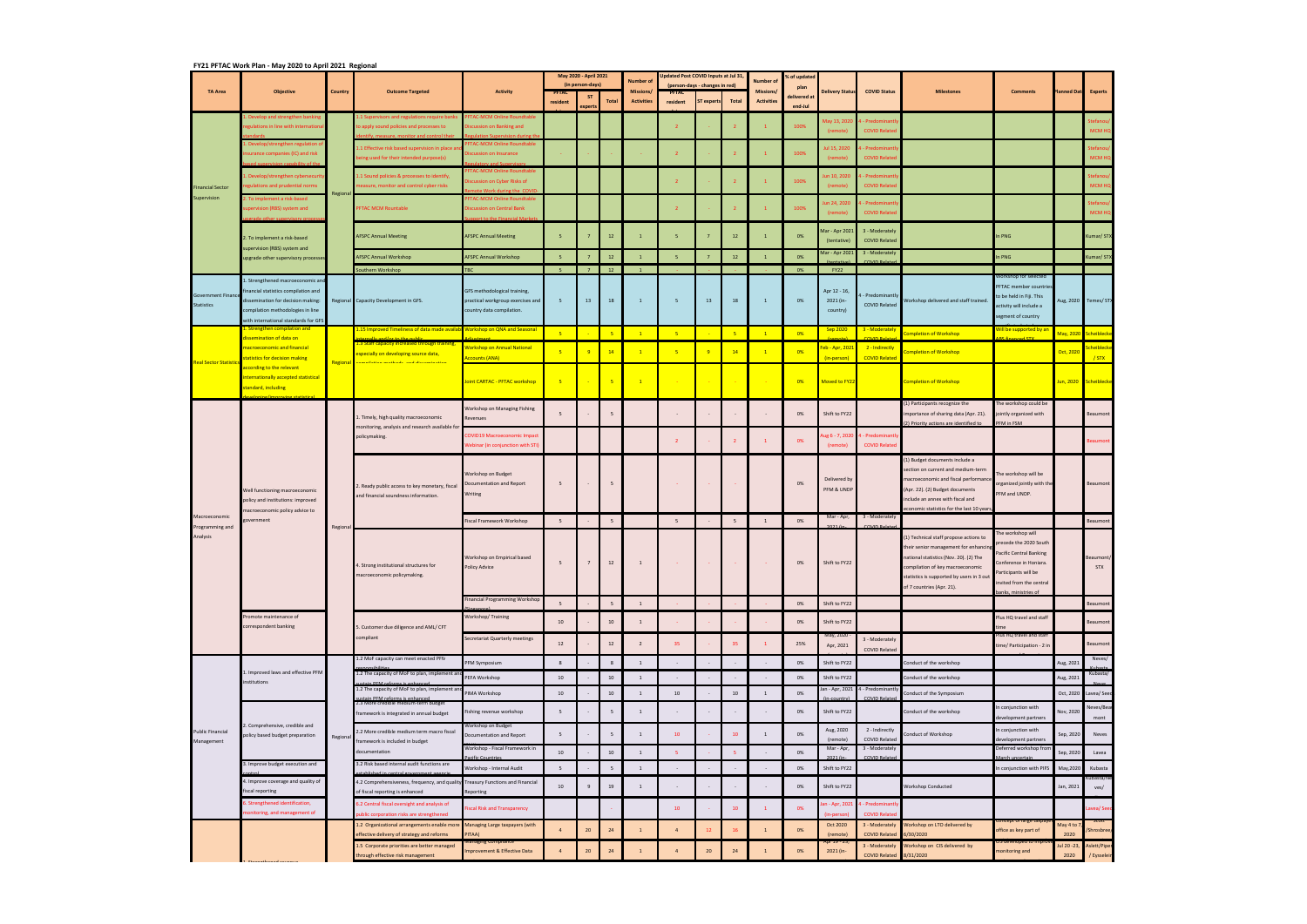|                                               | FY21 PFTAC Work Plan - May 2020 to April 2021 Regional<br><b>Objective</b>                                                                                                                   | Country  |                                                                                                                             |                                                                                                | May 2020 - April 2021 |                      |                | Ipdated Post COVID Inputs at Jul 31, |                                                |           |                |                              | of updated                     |                                       |                                                       |                                                                                                                                                                                                                                        |                                                                                                                                                                          |                        |                        |
|-----------------------------------------------|----------------------------------------------------------------------------------------------------------------------------------------------------------------------------------------------|----------|-----------------------------------------------------------------------------------------------------------------------------|------------------------------------------------------------------------------------------------|-----------------------|----------------------|----------------|--------------------------------------|------------------------------------------------|-----------|----------------|------------------------------|--------------------------------|---------------------------------------|-------------------------------------------------------|----------------------------------------------------------------------------------------------------------------------------------------------------------------------------------------------------------------------------------------|--------------------------------------------------------------------------------------------------------------------------------------------------------------------------|------------------------|------------------------|
| <b>TA Area</b>                                |                                                                                                                                                                                              |          | <b>Outcome Targeted</b>                                                                                                     | <b>Activity</b>                                                                                | (in person-days)      |                      |                | Number o<br><b>Missions</b>          | (person-days - changes in red)<br><b>PFTAC</b> |           |                | lumber c<br><b>Missions/</b> | plan<br><b>Delivery Status</b> |                                       | <b>COVID Status</b>                                   | <b>Milestones</b>                                                                                                                                                                                                                      | <b>Comments</b>                                                                                                                                                          | Planned Dat            | <b>Experts</b>         |
|                                               |                                                                                                                                                                                              |          |                                                                                                                             |                                                                                                | resident              | <b>ST</b><br>experts | <b>Total</b>   | <b>Activities</b>                    | resident                                       | T experts | Total          | <b>Activities</b>            | lelivered a<br>end-Jul         |                                       |                                                       |                                                                                                                                                                                                                                        |                                                                                                                                                                          |                        |                        |
| <b>Financial Sector</b><br>Supervision        | Develop and strengthen banking<br>egulations in line with internation                                                                                                                        |          | 1 Supervisors and regulations require bank:<br>o apply sound policies and processes to                                      | <b>TAC-MCM Online Roundtable</b><br>scussion on Banking and                                    |                       |                      |                |                                      | $\overline{\phantom{a}}$                       |           |                |                              | 100%                           | Aay 13, 202<br>(remote)               | - Predominar<br><b>COVID Related</b>                  |                                                                                                                                                                                                                                        |                                                                                                                                                                          |                        | <b>MCM HC</b>          |
|                                               | Develop/strengthen regulation                                                                                                                                                                |          |                                                                                                                             | <b>FAC-MCM Online Roundtabl</b>                                                                |                       |                      |                |                                      |                                                |           |                |                              |                                |                                       |                                                       |                                                                                                                                                                                                                                        |                                                                                                                                                                          |                        |                        |
|                                               | surance companies (IC) and risk                                                                                                                                                              |          | 1 Effective risk based supervision in place a<br>eing used for their intended purpose(s)                                    | cussion on Insurance                                                                           |                       |                      |                |                                      | $\overline{2}$                                 |           |                |                              | 100%                           | 15, 2020 ار<br>(remote)               | Predominar<br><b>COVID Relate</b>                     |                                                                                                                                                                                                                                        |                                                                                                                                                                          |                        | MCM H                  |
|                                               | Develop/strengthen cybersecuri                                                                                                                                                               |          | 1.1 Sound policies & processes to identify,                                                                                 | <b>TAC-MCM Online Roundtab</b>                                                                 |                       |                      |                |                                      |                                                |           |                |                              |                                | un 10, 2020                           | - Predominant                                         |                                                                                                                                                                                                                                        |                                                                                                                                                                          |                        | tefano                 |
|                                               | egulations and prudential norms                                                                                                                                                              | Regional | reasure, monitor and control cyber risks                                                                                    | cussion on Cyber Risks of                                                                      |                       |                      |                |                                      | $\overline{2}$                                 |           |                |                              | 100%                           | (remote)                              | <b>COVID Related</b>                                  |                                                                                                                                                                                                                                        |                                                                                                                                                                          |                        | <b>MCM HC</b>          |
|                                               | To implement a risk-based                                                                                                                                                                    |          |                                                                                                                             | <b>TAC-MCM Online Roundtab</b>                                                                 |                       |                      |                |                                      |                                                |           |                |                              |                                | in 24, 2020                           | - Predominant                                         |                                                                                                                                                                                                                                        |                                                                                                                                                                          |                        |                        |
|                                               | ipervision (RBS) system and                                                                                                                                                                  |          | <b>PFTAC MCM Rountable</b>                                                                                                  | cussion on Central Bank<br>rt to the Financial Mark                                            |                       |                      |                |                                      | $\overline{2}$                                 |           |                |                              | 100%                           | (remote)                              | <b>COVID Related</b>                                  |                                                                                                                                                                                                                                        |                                                                                                                                                                          |                        | <b>MCM HC</b>          |
|                                               | 2. To implement a risk-based                                                                                                                                                                 |          | <b>AFSPC Annual Meeting</b>                                                                                                 | <b>AFSPC Annual Meeting</b>                                                                    | -5                    |                      | 12             | $\overline{1}$                       | 5                                              |           | $12\,$         |                              | 0%                             | <b>Aar - Apr 2021</b><br>(tentative)  | 3 - Moderately<br><b>COVID Related</b>                |                                                                                                                                                                                                                                        | n PNG                                                                                                                                                                    |                        | Kumar/ST               |
|                                               | supervision (RBS) system and<br>upgrade other supervisory processes                                                                                                                          |          | <b>AFSPC Annual Workshop</b>                                                                                                | <b>AFSPC Annual Workshop</b>                                                                   |                       |                      | 12             |                                      | 5                                              |           | $12$           |                              | 0%                             | Mar - Apr 2021                        | 3 - Moderately<br><b>COVID Relat</b>                  |                                                                                                                                                                                                                                        | n PNG                                                                                                                                                                    |                        | Kumar/ST               |
|                                               |                                                                                                                                                                                              |          | outhern Workshop                                                                                                            | TBC.                                                                                           |                       | 7 <sup>7</sup>       | <b>12</b>      |                                      |                                                |           |                |                              | 0%                             | <b>FY22</b>                           |                                                       |                                                                                                                                                                                                                                        | Norkshop for selected                                                                                                                                                    |                        |                        |
| <b>Government Financ</b><br><b>Statistics</b> | 1. Strengthened macroeconomic and<br>financial statistics compilation and<br>dissemination for decision making:<br>compilation methodologies in line<br>with international standards for GFS |          | Regional Capacity Development in GFS.                                                                                       | GFS methodological training,<br>practical workgroup exercises and<br>country data compilation. | 5                     | 13                   | 18             | $\mathbf{1}$                         | 5                                              | 13        | 18             | <sup>1</sup>                 | 0%                             | Apr 12 - 16,<br>2021 (in-<br>country) | - Predominantly<br><b>COVID Related</b>               | Workshop delivered and staff trained.                                                                                                                                                                                                  | <b>PFTAC</b> member countries<br>to be held in Fiji. This<br>activity will include a<br>segment of country                                                               |                        | Aug, 2020 Temes/ STX   |
|                                               | <u>. Strengthen compilation an</u><br>dissemination of data on                                                                                                                               |          | 1.15 Improved Timeliness of data made availab Workshop on QNA and Seasonal                                                  |                                                                                                | -5.                   |                      | $\overline{5}$ | $\mathbf{1}$                         | $-5$                                           |           | 5 <sub>1</sub> | $\mathbf{1}$                 | 0%                             | <u>Sep 2020</u>                       | 3 - Moderately                                        | <b>Impletion of Workshop</b>                                                                                                                                                                                                           | <mark>Nill be supported by an</mark>                                                                                                                                     | <mark>May, 2020</mark> | <b>icheibleck</b>      |
|                                               | macroeconomic and financial                                                                                                                                                                  | Regional | <br>3 Staff capacity increased through training,<br>especially on developing source data,                                   | <b>Norkshop on Annual National</b>                                                             |                       |                      | 14             |                                      | $\overline{\phantom{a}}$                       |           | 14             |                              | 0%                             | <mark>eb - Apr, 202</mark>            | 2 - Indirectly                                        | ompletion of Workshop                                                                                                                                                                                                                  |                                                                                                                                                                          | Oct, 2020              | cheibleck              |
| <b>Real Sector Statistic</b>                  | statistics for decision making<br>according to the relevant                                                                                                                                  |          | <u>amaliatina matenda and dissaminatan</u>                                                                                  | ccounts (ANA)                                                                                  |                       |                      |                |                                      |                                                |           |                |                              |                                | (in-person)                           | <b>COVID Related</b>                                  |                                                                                                                                                                                                                                        |                                                                                                                                                                          |                        | $/$ STX                |
|                                               | internationally accepted statistical<br>standard, including                                                                                                                                  |          |                                                                                                                             | oint CARTAC - PFTAC workshop                                                                   |                       |                      | 5              | $\mathbf{1}$                         |                                                |           |                |                              | 0%                             | Moved to FY22                         |                                                       | <b>Completion of Workshop</b>                                                                                                                                                                                                          |                                                                                                                                                                          |                        | Jun, 2020 Scheibleck   |
| Macroeconomic<br>Programming and<br>Analysis  | Well functioning macroeconomic<br>policy and institutions: improved<br>nacroeconomic policy advice to                                                                                        |          | Timely, high quality macroeconomic                                                                                          | Workshop on Managing Fishing<br><b>Revenues</b>                                                | 5                     |                      | 5              |                                      | $\sim$                                         |           |                |                              | 0%                             | Shift to FY22                         |                                                       | (1) Participants recognize the<br>importance of sharing data (Apr. 21).                                                                                                                                                                | The workshop could be<br>ointly organized with                                                                                                                           |                        | Beaumont               |
|                                               |                                                                                                                                                                                              | Regiona  | monitoring, analysis and research available for                                                                             | <b>COVID19 Macroeconomic Impact</b>                                                            |                       |                      |                |                                      |                                                |           |                |                              |                                | g 6 - 7, 2020                         | 1 - Predominantl                                      | (2) Priority actions are identified to                                                                                                                                                                                                 | PFM in FSM                                                                                                                                                               |                        |                        |
|                                               |                                                                                                                                                                                              |          | policymaking.                                                                                                               | Vebinar (in conjunction with STI)                                                              |                       |                      |                |                                      | $\overline{2}$                                 |           |                |                              | 0%                             | (remote)                              | <b>COVID Related</b>                                  |                                                                                                                                                                                                                                        |                                                                                                                                                                          |                        | leaumo                 |
|                                               |                                                                                                                                                                                              |          | 2. Ready public access to key monetary, fiscal<br>and financial soundness information.                                      | <b>Norkshop on Budget</b><br>Documentation and Report<br>Writing                               | 5                     |                      | 5              |                                      | <b>PO</b>                                      |           |                |                              | 0%                             | Delivered by<br>PFM & UNDP            |                                                       | (1) Budget documents include a<br>section on current and medium-term<br>macroeconomic and fiscal performanc<br>(Apr. 22). (2) Budget documents<br>include an annex with fiscal and<br>economic statistics for the last 10 years        | he workshop will be<br>organized jointly with the<br>PFM and UNDP.                                                                                                       |                        | Beaumont               |
|                                               | government                                                                                                                                                                                   |          |                                                                                                                             | Fiscal Framework Workshop                                                                      | 5                     |                      | 5              |                                      | 5                                              |           | 5              | <sup>1</sup>                 | 0%                             | Mar - Apr,                            | 3 - Moderately                                        |                                                                                                                                                                                                                                        |                                                                                                                                                                          |                        | Beaumont               |
|                                               | Promote maintenance of<br>correspondent banking                                                                                                                                              |          | 1. Strong institutional structures for<br>nacroeconomic policymaking.                                                       | Vorkshop on Empirical based<br>Policy Advice                                                   |                       |                      | 12             | 1                                    |                                                |           |                |                              | 0%                             | Shift to FY22                         |                                                       | 1) Technical staff propose actions to<br>their senior management for enhancing<br>national statistics (Nov. 20). (2) The<br>compilation of key macroeconomic<br>statistics is supported by users in 3 out<br>of 7 countries (Apr. 21). | he workshop will<br>precede the 2020 South<br>Pacific Central Banking<br>Conference in Honiara.<br>articipants will be<br>nvited from the central<br>anks, ministries of |                        | 3eaumont<br><b>STX</b> |
|                                               |                                                                                                                                                                                              |          |                                                                                                                             | <b>Financial Programming Workshop</b>                                                          | -5                    |                      | 5              | 1                                    |                                                |           |                |                              | 0%                             | Shift to FY22                         |                                                       |                                                                                                                                                                                                                                        |                                                                                                                                                                          |                        | Beaumont               |
|                                               |                                                                                                                                                                                              |          | 5. Customer due diligence and AML/ CFT                                                                                      | Workshop/Training                                                                              | $10\,$                |                      | $10\,$         | 1                                    |                                                |           |                |                              | 0%                             | Shift to FY22                         |                                                       |                                                                                                                                                                                                                                        | Plus HQ travel and staff                                                                                                                                                 |                        | Beaumont               |
|                                               |                                                                                                                                                                                              |          | compliant                                                                                                                   | Secretariat Quarterly meetings                                                                 | $12\,$                |                      | $12\,$         | $\overline{2}$                       | 35                                             |           | 35             |                              | 25%                            | May, 2020<br>Apr, 2021                | 3 - Moderately<br><b>COVID Related</b>                |                                                                                                                                                                                                                                        | Plus HQ travel and staff<br>time/ Participation - 2 ir                                                                                                                   |                        | Beaumont               |
| <b>Public Financial</b><br>Management         | . Improved laws and effective PFM<br>institutions<br>. Comprehensive, credible and<br>policy based budget preparation                                                                        | Regional | 1.2 MoF capacity can meet enacted PFN                                                                                       | PFM Symposium                                                                                  | 8                     |                      | 8              | 1                                    |                                                |           |                |                              | 0%                             | Shift to FY22                         |                                                       | Conduct of the workshop                                                                                                                                                                                                                |                                                                                                                                                                          | Aug, 2021              | Neves/                 |
|                                               |                                                                                                                                                                                              |          | 1.2 The capacity of MoF to plan, implement ar                                                                               | PEFA Workshop                                                                                  | $10\,$                |                      | 10             | $\mathbf{1}$                         |                                                |           |                |                              | 0%                             | Shift to FY22                         |                                                       | Conduct of the workshop                                                                                                                                                                                                                |                                                                                                                                                                          | Aug, 2021              | Kubasta/               |
|                                               |                                                                                                                                                                                              |          | 1.2 The capacity of MoF to plan, implement ar<br>n <b>DEM</b> reform                                                        | PIMA Workshop                                                                                  | $10\,$                |                      | $10\,$         | $\mathbf{1}$                         | 10                                             |           | $10\,$         | 1                            | 0%                             |                                       | an - Apr, 2021 4 - Predominantly<br>COVID Relate      | Conduct of the Symposium                                                                                                                                                                                                               |                                                                                                                                                                          | Oct, 2020              | Lavea/ See             |
|                                               |                                                                                                                                                                                              |          | 2.3 More credible medium-term budget<br>framework is integrated in annual budget                                            | ishing revenue workshop                                                                        | 5                     |                      | 5              | $\mathbf{1}$                         |                                                |           |                |                              | 0%                             | Shift to FY22                         |                                                       | Conduct of the workshop                                                                                                                                                                                                                | n conjunction with                                                                                                                                                       | Nov, 2020              | Neves/Bea              |
|                                               |                                                                                                                                                                                              |          |                                                                                                                             | Vorkshop on Budget                                                                             |                       |                      |                |                                      |                                                |           |                |                              |                                | Aug, 2020                             | 2 - Indirectly                                        |                                                                                                                                                                                                                                        | development partners<br>n conjunction with                                                                                                                               |                        | mont                   |
|                                               |                                                                                                                                                                                              |          | 2.2 More credible medium term macro fiscal<br>framework is included in budget                                               | Oocumentation and Report                                                                       | 5                     |                      | 5              | $\mathbf{1}$                         | 10                                             |           | 10             |                              | 0%                             | (remote)                              | <b>COVID Related</b>                                  | Conduct of Workshop                                                                                                                                                                                                                    | development partners                                                                                                                                                     | Sep, 2020              | Neves                  |
|                                               |                                                                                                                                                                                              |          | documentation                                                                                                               | Workshop - Fiscal Framework in                                                                 | $10\,$                |                      | $10\,$         | $\mathbf{1}$                         | -5                                             |           | -5.            |                              | 0%                             | Mar - Apr,                            | 3 - Moderately<br>cOVID Rela                          |                                                                                                                                                                                                                                        | Deferred workshop fro                                                                                                                                                    | Sep, 2020              | Lavea                  |
|                                               | 3. Improve budget execution and                                                                                                                                                              |          | 3.2 Risk based internal audit functions are                                                                                 | Workshop - Internal Audit                                                                      | -5                    |                      | 5              | 1                                    |                                                |           |                |                              | 0%                             | Shift to FY22                         |                                                       |                                                                                                                                                                                                                                        | n conjunction with PIFS                                                                                                                                                  | May, 2020              | Kubasta                |
|                                               | 4. Improve coverage and quality of<br>fiscal reporting                                                                                                                                       |          | 4.2 Comprehensiveness, frequency, and quality                                                                               | Treasury Functions and Financial                                                               | $10\,$                |                      | 19             | $\mathbf{1}$                         |                                                |           |                |                              | 0%                             | Shift to FY22                         |                                                       | Workshop Conducted                                                                                                                                                                                                                     |                                                                                                                                                                          | Jan, 2021              | (ubasta/N<br>ves/      |
|                                               | Strengthened identification,<br>ionitoring, and management of                                                                                                                                |          | of fiscal reporting is enhanced<br>6.2 Central fiscal oversight and analysis of<br>ublic corporation risks are strengthened | Reporting<br>iscal Risk and Transparency                                                       |                       |                      |                |                                      | 10                                             |           | 10             |                              | 0%                             | in-person)                            | n - Apr, 2021 4 - Predominantl<br><b>COVID Relate</b> |                                                                                                                                                                                                                                        |                                                                                                                                                                          |                        | avea/ See              |
|                                               |                                                                                                                                                                                              |          | 1.2 Organizational arrangements enable more                                                                                 | Managing Large taxpayers (with                                                                 |                       | 20                   | 24             | $\mathbf{1}$                         | $\overline{4}$                                 | 12        | 16             | $\mathbf{1}$                 | 0%                             | Oct 2020                              | 3 - Moderately                                        | Workshop on LTO delivered by                                                                                                                                                                                                           | office as key part of                                                                                                                                                    | May 4 to 1             | 'Shrosbree,            |
|                                               |                                                                                                                                                                                              |          | effective delivery of strategy and reforms<br>1.5 Corporate priorities are better managed                                   | <b>ITAA)</b><br>aging Cor                                                                      |                       |                      |                |                                      |                                                |           |                |                              |                                | (remote)                              | <b>COVID Related</b><br>3 - Moderately                | 6/30/2020<br>Workshop on CIS delivered by                                                                                                                                                                                              |                                                                                                                                                                          | 2020<br>Jul 20 -23,    | Aslett/Piper           |
|                                               |                                                                                                                                                                                              |          | hrough effective risk management                                                                                            | mprovement & Effective Data                                                                    |                       | $20\degree$          | 24             |                                      | $\overline{4}$                                 | 20        | 24             |                              | 0%                             | 2021 (in-                             | <b>COVID Related</b>                                  | 8/31/2020                                                                                                                                                                                                                              | nonitoring and                                                                                                                                                           | 2020                   | / Eysselein            |

1. Chronothened revenue